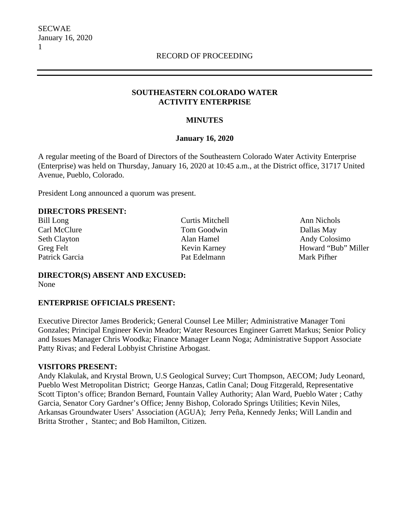## **SOUTHEASTERN COLORADO WATER ACTIVITY ENTERPRISE**

## **MINUTES**

## **January 16, 2020**

A regular meeting of the Board of Directors of the Southeastern Colorado Water Activity Enterprise (Enterprise) was held on Thursday, January 16, 2020 at 10:45 a.m., at the District office, 31717 United Avenue, Pueblo, Colorado.

President Long announced a quorum was present.

## **DIRECTORS PRESENT:**

Bill Long Curtis Mitchell Ann Nichols Carl McClure Tom Goodwin Carl McClure Dallas May Patrick Garcia **Pat Edelmann** Pat Edelmann Mark Pifher

Seth Clayton **Alan Hamel** Alan Hamel Andy Colosimo Greg Felt Kevin Karney Howard "Bub" Miller

**DIRECTOR(S) ABSENT AND EXCUSED:** None

# **ENTERPRISE OFFICIALS PRESENT:**

Executive Director James Broderick; General Counsel Lee Miller; Administrative Manager Toni Gonzales; Principal Engineer Kevin Meador; Water Resources Engineer Garrett Markus; Senior Policy and Issues Manager Chris Woodka; Finance Manager Leann Noga; Administrative Support Associate Patty Rivas; and Federal Lobbyist Christine Arbogast.

#### **VISITORS PRESENT:**

Andy Klakulak, and Krystal Brown, U.S Geological Survey; Curt Thompson, AECOM; Judy Leonard, Pueblo West Metropolitan District; George Hanzas, Catlin Canal; Doug Fitzgerald, Representative Scott Tipton's office; Brandon Bernard, Fountain Valley Authority; Alan Ward, Pueblo Water ; Cathy Garcia, Senator Cory Gardner's Office; Jenny Bishop, Colorado Springs Utilities; Kevin Niles, Arkansas Groundwater Users' Association (AGUA); Jerry Peña, Kennedy Jenks; Will Landin and Britta Strother , Stantec; and Bob Hamilton, Citizen.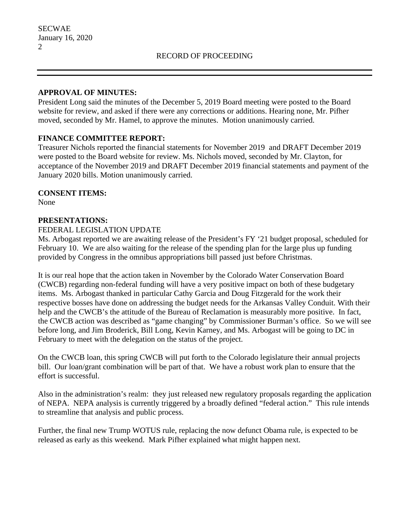#### **APPROVAL OF MINUTES:**

President Long said the minutes of the December 5, 2019 Board meeting were posted to the Board website for review, and asked if there were any corrections or additions. Hearing none, Mr. Pifher moved, seconded by Mr. Hamel, to approve the minutes. Motion unanimously carried.

## **FINANCE COMMITTEE REPORT:**

Treasurer Nichols reported the financial statements for November 2019 and DRAFT December 2019 were posted to the Board website for review. Ms. Nichols moved, seconded by Mr. Clayton, for acceptance of the November 2019 and DRAFT December 2019 financial statements and payment of the January 2020 bills. Motion unanimously carried.

#### **CONSENT ITEMS:**

None

#### **PRESENTATIONS:**

#### FEDERAL LEGISLATION UPDATE

Ms. Arbogast reported we are awaiting release of the President's FY '21 budget proposal, scheduled for February 10. We are also waiting for the release of the spending plan for the large plus up funding provided by Congress in the omnibus appropriations bill passed just before Christmas.

It is our real hope that the action taken in November by the Colorado Water Conservation Board (CWCB) regarding non-federal funding will have a very positive impact on both of these budgetary items. Ms. Arbogast thanked in particular Cathy Garcia and Doug Fitzgerald for the work their respective bosses have done on addressing the budget needs for the Arkansas Valley Conduit. With their help and the CWCB's the attitude of the Bureau of Reclamation is measurably more positive. In fact, the CWCB action was described as "game changing" by Commissioner Burman's office. So we will see before long, and Jim Broderick, Bill Long, Kevin Karney, and Ms. Arbogast will be going to DC in February to meet with the delegation on the status of the project.

On the CWCB loan, this spring CWCB will put forth to the Colorado legislature their annual projects bill. Our loan/grant combination will be part of that. We have a robust work plan to ensure that the effort is successful.

Also in the administration's realm: they just released new regulatory proposals regarding the application of NEPA. NEPA analysis is currently triggered by a broadly defined "federal action." This rule intends to streamline that analysis and public process.

Further, the final new Trump WOTUS rule, replacing the now defunct Obama rule, is expected to be released as early as this weekend. Mark Pifher explained what might happen next.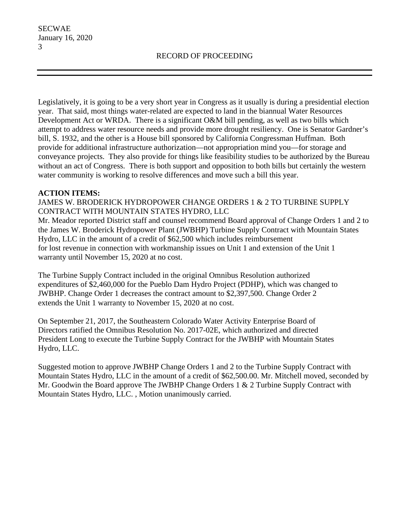Legislatively, it is going to be a very short year in Congress as it usually is during a presidential election year. That said, most things water-related are expected to land in the biannual Water Resources Development Act or WRDA. There is a significant O&M bill pending, as well as two bills which attempt to address water resource needs and provide more drought resiliency. One is Senator Gardner's bill, S. 1932, and the other is a House bill sponsored by California Congressman Huffman. Both provide for additional infrastructure authorization—not appropriation mind you—for storage and conveyance projects. They also provide for things like feasibility studies to be authorized by the Bureau without an act of Congress. There is both support and opposition to both bills but certainly the western water community is working to resolve differences and move such a bill this year.

## **ACTION ITEMS:**

JAMES W. BRODERICK HYDROPOWER CHANGE ORDERS 1 & 2 TO TURBINE SUPPLY CONTRACT WITH MOUNTAIN STATES HYDRO, LLC

Mr. Meador reported District staff and counsel recommend Board approval of Change Orders 1 and 2 to the James W. Broderick Hydropower Plant (JWBHP) Turbine Supply Contract with Mountain States Hydro, LLC in the amount of a credit of \$62,500 which includes reimbursement for lost revenue in connection with workmanship issues on Unit 1 and extension of the Unit 1 warranty until November 15, 2020 at no cost.

The Turbine Supply Contract included in the original Omnibus Resolution authorized expenditures of \$2,460,000 for the Pueblo Dam Hydro Project (PDHP), which was changed to JWBHP. Change Order 1 decreases the contract amount to \$2,397,500. Change Order 2 extends the Unit 1 warranty to November 15, 2020 at no cost.

On September 21, 2017, the Southeastern Colorado Water Activity Enterprise Board of Directors ratified the Omnibus Resolution No. 2017-02E, which authorized and directed President Long to execute the Turbine Supply Contract for the JWBHP with Mountain States Hydro, LLC.

Suggested motion to approve JWBHP Change Orders 1 and 2 to the Turbine Supply Contract with Mountain States Hydro, LLC in the amount of a credit of \$62,500.00. Mr. Mitchell moved, seconded by Mr. Goodwin the Board approve The JWBHP Change Orders 1 & 2 Turbine Supply Contract with Mountain States Hydro, LLC. , Motion unanimously carried.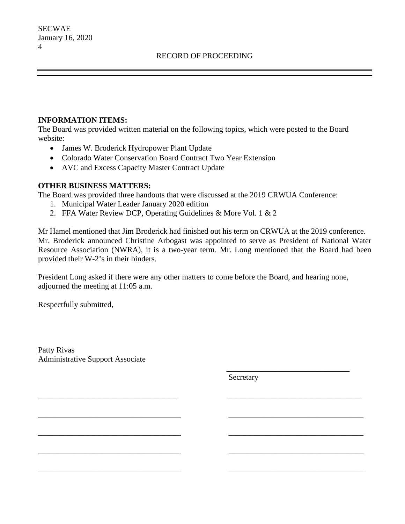#### **INFORMATION ITEMS:**

The Board was provided written material on the following topics, which were posted to the Board website:

- James W. Broderick Hydropower Plant Update
- Colorado Water Conservation Board Contract Two Year Extension
- AVC and Excess Capacity Master Contract Update

## **OTHER BUSINESS MATTERS:**

The Board was provided three handouts that were discussed at the 2019 CRWUA Conference:

- 1. Municipal Water Leader January 2020 edition
- 2. FFA Water Review DCP, Operating Guidelines & More Vol. 1 & 2

Mr Hamel mentioned that Jim Broderick had finished out his term on CRWUA at the 2019 conference. Mr. Broderick announced Christine Arbogast was appointed to serve as President of National Water Resource Association (NWRA), it is a two-year term. Mr. Long mentioned that the Board had been provided their W-2's in their binders.

President Long asked if there were any other matters to come before the Board, and hearing none, adjourned the meeting at 11:05 a.m.

 $\overline{\phantom{a}}$  , and the contract of the contract of the contract of the contract of the contract of the contract of the contract of the contract of the contract of the contract of the contract of the contract of the contrac

\_\_\_\_\_\_\_\_\_\_\_\_\_\_\_\_\_\_\_\_\_\_\_\_\_\_\_\_\_\_\_\_\_\_\_ \_\_\_\_\_\_\_\_\_\_\_\_\_\_\_\_\_\_\_\_\_\_\_\_\_\_\_\_\_\_\_\_\_\_

\_\_\_\_\_\_\_\_\_\_\_\_\_\_\_\_\_\_\_\_\_\_\_\_\_\_\_\_\_\_\_\_\_\_\_\_ \_\_\_\_\_\_\_\_\_\_\_\_\_\_\_\_\_\_\_\_\_\_\_\_\_\_\_\_\_\_\_\_\_\_

\_\_\_\_\_\_\_\_\_\_\_\_\_\_\_\_\_\_\_\_\_\_\_\_\_\_\_\_\_\_\_\_\_\_\_\_ \_\_\_\_\_\_\_\_\_\_\_\_\_\_\_\_\_\_\_\_\_\_\_\_\_\_\_\_\_\_\_\_\_\_

\_\_\_\_\_\_\_\_\_\_\_\_\_\_\_\_\_\_\_\_\_\_\_\_\_\_\_\_\_\_\_\_\_\_\_\_ \_\_\_\_\_\_\_\_\_\_\_\_\_\_\_\_\_\_\_\_\_\_\_\_\_\_\_\_\_\_\_\_\_\_

\_\_\_\_\_\_\_\_\_\_\_\_\_\_\_\_\_\_\_\_\_\_\_\_\_\_\_\_\_\_\_\_\_\_\_\_ \_\_\_\_\_\_\_\_\_\_\_\_\_\_\_\_\_\_\_\_\_\_\_\_\_\_\_\_\_\_\_\_\_\_

Respectfully submitted,

Patty Rivas Administrative Support Associate

Secretary